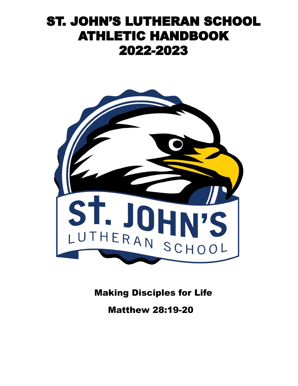# ST. JOHN'S LUTHERAN SCHOOL ATHLETIC HANDBOOK 2022-2023



Making Disciples for Life

Matthew 28:19-20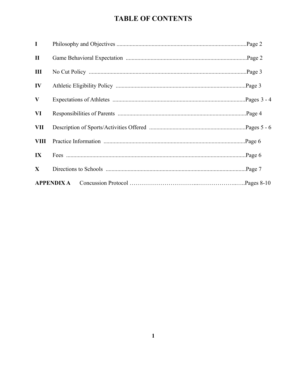## **TABLE OF CONTENTS**

| $\mathbf I$             |                   |  |
|-------------------------|-------------------|--|
| $\mathbf{I}$            |                   |  |
| Ш                       |                   |  |
| IV                      |                   |  |
| $\bf{V}$                |                   |  |
| VI                      |                   |  |
| VII                     |                   |  |
| <b>VIII</b>             |                   |  |
| $\mathbf{I} \mathbf{X}$ |                   |  |
| $\mathbf{X}$            |                   |  |
|                         | <b>APPENDIX A</b> |  |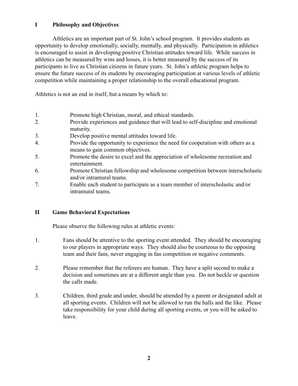## **I Philosophy and Objectives**

Athletics are an important part of St. John's school program. It provides students an opportunity to develop emotionally, socially, mentally, and physically. Participation in athletics is encouraged to assist in developing positive Christian attitudes toward life. While success in athletics can be measured by wins and losses, it is better measured by the success of its participants to live as Christian citizens in future years. St. John's athletic program helps to ensure the future success of its students by encouraging participation at various levels of athletic competition while maintaining a proper relationship to the overall educational program.

Athletics is not an end in itself, but a means by which to:

- 1. Promote high Christian, moral, and ethical standards.
- 2. Provide experiences and guidance that will lead to self-discipline and emotional maturity.
- 3. Develop positive mental attitudes toward life.
- 4. Provide the opportunity to experience the need for cooperation with others as a means to gain common objectives.
- 5. Promote the desire to excel and the appreciation of wholesome recreation and entertainment.
- 6. Promote Christian fellowship and wholesome competition between interscholastic and/or intramural teams.
- 7. Enable each student to participate as a team member of interscholastic and/or intramural teams.

## **II Game Behavioral Expectations**

Please observe the following rules at athletic events:

- 1. Fans should be attentive to the sporting event attended. They should be encouraging to our players in appropriate ways. They should also be courteous to the opposing team and their fans, never engaging in fan competition or negative comments.
- 2. Please remember that the referees are human. They have a split second to make a decision and sometimes are at a different angle than you. Do not heckle or question the calls made.
- 3. Children, third grade and under, should be attended by a parent or designated adult at all sporting events. Children will not be allowed to run the halls and the like. Please take responsibility for your child during all sporting events, or you will be asked to leave.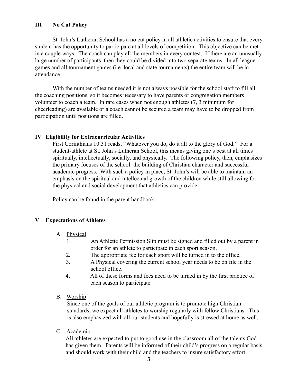## **III No Cut Policy**

St. John's Lutheran School has a no cut policy in all athletic activities to ensure that every student has the opportunity to participate at all levels of competition. This objective can be met in a couple ways. The coach can play all the members in every contest. If there are an unusually large number of participants, then they could be divided into two separate teams. In all league games and all tournament games (i.e. local and state tournaments) the entire team will be in attendance.

With the number of teams needed it is not always possible for the school staff to fill all the coaching positions, so it becomes necessary to have parents or congregation members volunteer to coach a team. In rare cases when not enough athletes (7, 3 minimum for cheerleading) are available or a coach cannot be secured a team may have to be dropped from participation until positions are filled.

#### **IV Eligibility for Extracurricular Activities**

First Corinthians 10:31 reads, "Whatever you do, do it all to the glory of God." For a student-athlete at St. John's Lutheran School, this means giving one's best at all times– spiritually, intellectually, socially, and physically. The following policy, then, emphasizes the primary focuses of the school: the building of Christian character and successful academic progress. With such a policy in place, St. John's will be able to maintain an emphasis on the spiritual and intellectual growth of the children while still allowing for the physical and social development that athletics can provide.

Policy can be found in the parent handbook.

#### **V Expectations of Athletes**

#### A. Physical

- 1. An Athletic Permission Slip must be signed and filled out by a parent in order for an athlete to participate in each sport season.
- 2. The appropriate fee for each sport will be turned in to the office.
- 3. A Physical covering the current school year needs to be on file in the school office.
- 4. All of these forms and fees need to be turned in by the first practice of each season to participate.
- B. Worship

Since one of the goals of our athletic program is to promote high Christian standards, we expect all athletes to worship regularly with fellow Christians. This is also emphasized with all our students and hopefully is stressed at home as well.

C. Academic

All athletes are expected to put to good use in the classroom all of the talents God has given them. Parents will be informed of their child's progress on a regular basis and should work with their child and the teachers to insure satisfactory effort.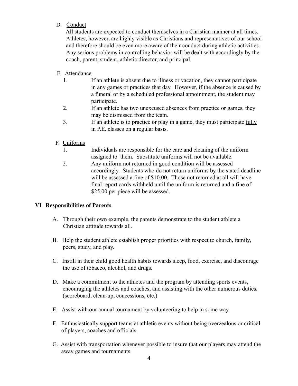## D. Conduct

All students are expected to conduct themselves in a Christian manner at all times. Athletes, however, are highly visible as Christians and representatives of our school and therefore should be even more aware of their conduct during athletic activities. Any serious problems in controlling behavior will be dealt with accordingly by the coach, parent, student, athletic director, and principal.

## E. Attendance

- 1. If an athlete is absent due to illness or vacation, they cannot participate in any games or practices that day. However, if the absence is caused by a funeral or by a scheduled professional appointment, the student may participate.
- 2. If an athlete has two unexcused absences from practice or games, they may be dismissed from the team.
- 3. If an athlete is to practice or play in a game, they must participate fully in P.E. classes on a regular basis.

## F. Uniforms

- 1. Individuals are responsible for the care and cleaning of the uniform assigned to them. Substitute uniforms will not be available.
- 2. Any uniform not returned in good condition will be assessed accordingly. Students who do not return uniforms by the stated deadline will be assessed a fine of \$10.00. Those not returned at all will have final report cards withheld until the uniform is returned and a fine of \$25.00 per piece will be assessed.

## **VI Responsibilities of Parents**

- A. Through their own example, the parents demonstrate to the student athlete a Christian attitude towards all.
- B. Help the student athlete establish proper priorities with respect to church, family, peers, study, and play.
- C. Instill in their child good health habits towards sleep, food, exercise, and discourage the use of tobacco, alcohol, and drugs.
- D. Make a commitment to the athletes and the program by attending sports events, encouraging the athletes and coaches, and assisting with the other numerous duties. (scoreboard, clean-up, concessions, etc.)
- E. Assist with our annual tournament by volunteering to help in some way.
- F. Enthusiastically support teams at athletic events without being overzealous or critical of players, coaches and officials.
- G. Assist with transportation whenever possible to insure that our players may attend the away games and tournaments.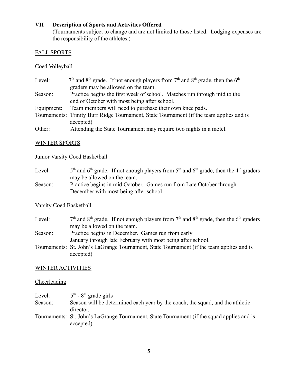## **VII Description of Sports and Activities Offered**

(Tournaments subject to change and are not limited to those listed. Lodging expenses are the responsibility of the athletes.)

## FALL SPORTS

### Coed Volleyball

| Level:     | $7th$ and 8 <sup>th</sup> grade. If not enough players from $7th$ and 8 <sup>th</sup> grade, then the 6 <sup>th</sup> |  |  |
|------------|-----------------------------------------------------------------------------------------------------------------------|--|--|
|            | graders may be allowed on the team.                                                                                   |  |  |
| Season:    | Practice begins the first week of school. Matches run through mid to the                                              |  |  |
|            | end of October with most being after school.                                                                          |  |  |
| Equipment: | Team members will need to purchase their own knee pads.                                                               |  |  |
|            | Tournaments: Trinity Burr Ridge Tournament, State Tournament (if the team applies and is                              |  |  |
|            | accepted)                                                                                                             |  |  |
| Other:     | Attending the State Tournament may require two nights in a motel.                                                     |  |  |

## WINTER SPORTS

## Junior Varsity Coed Basketball

| Level:  | $5th$ and $6th$ grade. If not enough players from $5th$ and $6th$ grade, then the 4 <sup>th</sup> graders |
|---------|-----------------------------------------------------------------------------------------------------------|
|         | may be allowed on the team.                                                                               |
| Season: | Practice begins in mid October. Games run from Late October through                                       |
|         | December with most being after school.                                                                    |

## Varsity Coed Basketball

| Level:  | $7th$ and 8 <sup>th</sup> grade. If not enough players from $7th$ and 8 <sup>th</sup> grade, then the 6 <sup>th</sup> graders |
|---------|-------------------------------------------------------------------------------------------------------------------------------|
|         | may be allowed on the team.                                                                                                   |
| Season: | Practice begins in December. Games run from early                                                                             |
|         | January through late February with most being after school.                                                                   |
|         | Tournaments: St. John's LaGrange Tournament, State Tournament (if the team applies and is                                     |
|         | accepted)                                                                                                                     |

## WINTER ACTIVITIES

### **Cheerleading**

| Level:  | $5th$ - $8th$ grade girls                                                                  |
|---------|--------------------------------------------------------------------------------------------|
| Season: | Season will be determined each year by the coach, the squad, and the athletic              |
|         | director.                                                                                  |
|         | Tournaments: St. John's LaGrange Tournament, State Tournament (if the squad applies and is |
|         | accepted)                                                                                  |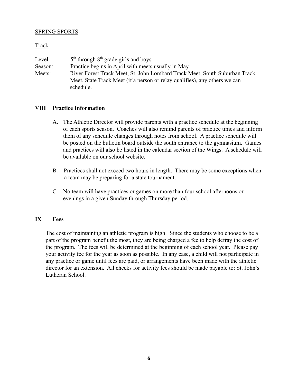#### SPRING SPORTS

#### **Track**

| Level:  | $5th$ through $8th$ grade girls and boys                                   |  |
|---------|----------------------------------------------------------------------------|--|
| Season: | Practice begins in April with meets usually in May                         |  |
| Meets:  | River Forest Track Meet, St. John Lombard Track Meet, South Suburban Track |  |
|         | Meet, State Track Meet (if a person or relay qualifies), any others we can |  |
|         | schedule.                                                                  |  |

#### **VIII Practice Information**

- A. The Athletic Director will provide parents with a practice schedule at the beginning of each sports season. Coaches will also remind parents of practice times and inform them of any schedule changes through notes from school. A practice schedule will be posted on the bulletin board outside the south entrance to the gymnasium. Games and practices will also be listed in the calendar section of the Wings. A schedule will be available on our school website.
- B. Practices shall not exceed two hours in length. There may be some exceptions when a team may be preparing for a state tournament.
- C. No team will have practices or games on more than four school afternoons or evenings in a given Sunday through Thursday period.

#### **IX Fees**

The cost of maintaining an athletic program is high. Since the students who choose to be a part of the program benefit the most, they are being charged a fee to help defray the cost of the program. The fees will be determined at the beginning of each school year. Please pay your activity fee for the year as soon as possible. In any case, a child will not participate in any practice or game until fees are paid, or arrangements have been made with the athletic director for an extension. All checks for activity fees should be made payable to: St. John's Lutheran School.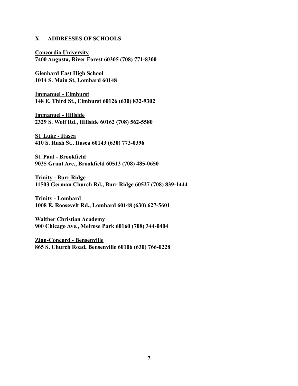#### **X ADDRESSES OF SCHOOLS**

**Concordia University 7400 Augusta, River Forest 60305 (708) 771-8300**

**Glenbard East High School 1014 S. Main St, Lombard 60148**

**Immanuel - Elmhurst 148 E. Third St., Elmhurst 60126 (630) 832-9302**

**Immanuel - Hillside 2329 S. Wolf Rd., Hillside 60162 (708) 562-5580**

**St. Luke - Itasca 410 S. Rush St., Itasca 60143 (630) 773-0396**

**St. Paul - Brookfield 9035 Grant Ave., Brookfield 60513 (708) 485-0650**

**Trinity - Burr Ridge 11503 German Church Rd., Burr Ridge 60527 (708) 839-1444**

**Trinity - Lombard 1008 E. Roosevelt Rd., Lombard 60148 (630) 627-5601**

**Walther Christian Academy 900 Chicago Ave., Melrose Park 60160 (708) 344-0404**

**Zion-Concord - Bensenville 865 S. Church Road, Bensenville 60106 (630) 766-0228**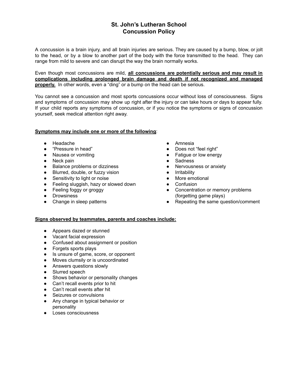## **St. John's Lutheran School Concussion Policy**

A concussion is a brain injury, and all brain injuries are serious. They are caused by a bump, blow, or jolt to the head, or by a blow to another part of the body with the force transmitted to the head. They can range from mild to severe and can disrupt the way the brain normally works.

Even though most concussions are mild, **all concussions are potentially serious and may result in complications including prolonged brain damage and death if not recognized and managed properly.** In other words, even a "ding" or a bump on the head can be serious.

You cannot see a concussion and most sports concussions occur without loss of consciousness. Signs and symptoms of concussion may show up right after the injury or can take hours or days to appear fully. If your child reports any symptoms of concussion, or if you notice the symptoms or signs of concussion yourself, seek medical attention right away.

#### **Symptoms may include one or more of the following**:

- Headache
- "Pressure in head"
- Nausea or vomiting
- Neck pain
- Balance problems or dizziness
- Blurred, double, or fuzzy vision
- Sensitivity to light or noise
- Feeling sluggish, hazy or slowed down
- Feeling foggy or groggy
- Drowsiness
- Change in sleep patterns
- Amnesia
- Does not "feel right"
- Fatigue or low energy
- Sadness
- Nervousness or anxiety
- Irritability
- More emotional
- Confusion
- Concentration or memory problems (forgetting game plays)
- Repeating the same question/comment

#### **Signs observed by teammates, parents and coaches include:**

- Appears dazed or stunned
- Vacant facial expression
- Confused about assignment or position
- Forgets sports plays
- Is unsure of game, score, or opponent
- Moves clumsily or is uncoordinated
- Answers questions slowly
- Slurred speech
- Shows behavior or personality changes
- Can't recall events prior to hit
- Can't recall events after hit
- Seizures or convulsions
- Any change in typical behavior or personality
- Loses consciousness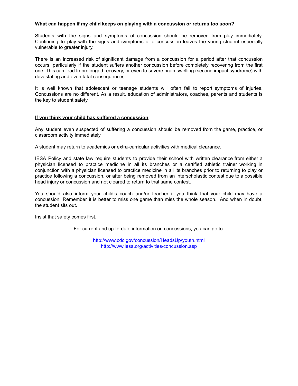#### **What can happen if my child keeps on playing with a concussion or returns too soon?**

Students with the signs and symptoms of concussion should be removed from play immediately. Continuing to play with the signs and symptoms of a concussion leaves the young student especially vulnerable to greater injury.

There is an increased risk of significant damage from a concussion for a period after that concussion occurs, particularly if the student suffers another concussion before completely recovering from the first one. This can lead to prolonged recovery, or even to severe brain swelling (second impact syndrome) with devastating and even fatal consequences.

It is well known that adolescent or teenage students will often fail to report symptoms of injuries. Concussions are no different. As a result, education of administrators, coaches, parents and students is the key to student safety.

#### **If you think your child has suffered a concussion**

Any student even suspected of suffering a concussion should be removed from the game, practice, or classroom activity immediately.

A student may return to academics or extra-curricular activities with medical clearance.

IESA Policy and state law require students to provide their school with written clearance from either a physician licensed to practice medicine in all its branches or a certified athletic trainer working in conjunction with a physician licensed to practice medicine in all its branches prior to returning to play or practice following a concussion, or after being removed from an interscholastic contest due to a possible head injury or concussion and not cleared to return to that same contest.

You should also inform your child's coach and/or teacher if you think that your child may have a concussion. Remember it is better to miss one game than miss the whole season. And when in doubt, the student sits out.

Insist that safety comes first.

For current and up-to-date information on concussions, you can go to:

<http://www.cdc.gov/concussion/HeadsUp/youth.html> <http://www.iesa.org/activities/concussion.asp>